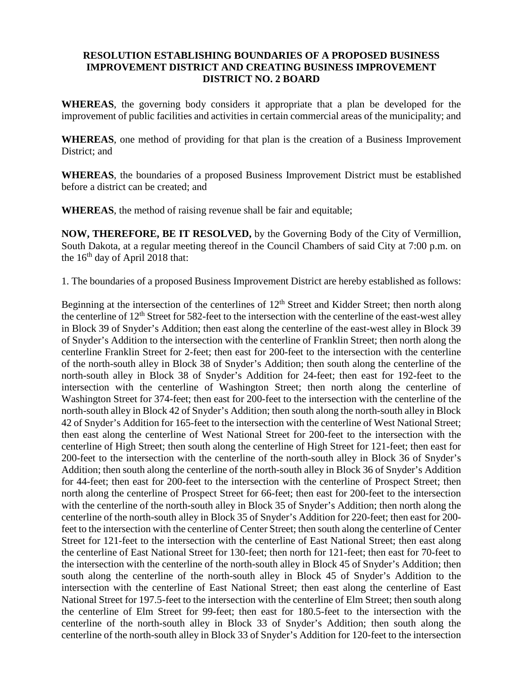## **RESOLUTION ESTABLISHING BOUNDARIES OF A PROPOSED BUSINESS IMPROVEMENT DISTRICT AND CREATING BUSINESS IMPROVEMENT DISTRICT NO. 2 BOARD**

**WHEREAS**, the governing body considers it appropriate that a plan be developed for the improvement of public facilities and activities in certain commercial areas of the municipality; and

**WHEREAS**, one method of providing for that plan is the creation of a Business Improvement District; and

**WHEREAS**, the boundaries of a proposed Business Improvement District must be established before a district can be created; and

**WHEREAS**, the method of raising revenue shall be fair and equitable;

**NOW, THEREFORE, BE IT RESOLVED,** by the Governing Body of the City of Vermillion, South Dakota, at a regular meeting thereof in the Council Chambers of said City at 7:00 p.m. on the  $16<sup>th</sup>$  day of April 2018 that:

1. The boundaries of a proposed Business Improvement District are hereby established as follows:

Beginning at the intersection of the centerlines of  $12<sup>th</sup>$  Street and Kidder Street; then north along the centerline of  $12<sup>th</sup>$  Street for 582-feet to the intersection with the centerline of the east-west alley in Block 39 of Snyder's Addition; then east along the centerline of the east-west alley in Block 39 of Snyder's Addition to the intersection with the centerline of Franklin Street; then north along the centerline Franklin Street for 2-feet; then east for 200-feet to the intersection with the centerline of the north-south alley in Block 38 of Snyder's Addition; then south along the centerline of the north-south alley in Block 38 of Snyder's Addition for 24-feet; then east for 192-feet to the intersection with the centerline of Washington Street; then north along the centerline of Washington Street for 374-feet; then east for 200-feet to the intersection with the centerline of the north-south alley in Block 42 of Snyder's Addition; then south along the north-south alley in Block 42 of Snyder's Addition for 165-feet to the intersection with the centerline of West National Street; then east along the centerline of West National Street for 200-feet to the intersection with the centerline of High Street; then south along the centerline of High Street for 121-feet; then east for 200-feet to the intersection with the centerline of the north-south alley in Block 36 of Snyder's Addition; then south along the centerline of the north-south alley in Block 36 of Snyder's Addition for 44-feet; then east for 200-feet to the intersection with the centerline of Prospect Street; then north along the centerline of Prospect Street for 66-feet; then east for 200-feet to the intersection with the centerline of the north-south alley in Block 35 of Snyder's Addition; then north along the centerline of the north-south alley in Block 35 of Snyder's Addition for 220-feet; then east for 200 feet to the intersection with the centerline of Center Street; then south along the centerline of Center Street for 121-feet to the intersection with the centerline of East National Street; then east along the centerline of East National Street for 130-feet; then north for 121-feet; then east for 70-feet to the intersection with the centerline of the north-south alley in Block 45 of Snyder's Addition; then south along the centerline of the north-south alley in Block 45 of Snyder's Addition to the intersection with the centerline of East National Street; then east along the centerline of East National Street for 197.5-feet to the intersection with the centerline of Elm Street; then south along the centerline of Elm Street for 99-feet; then east for 180.5-feet to the intersection with the centerline of the north-south alley in Block 33 of Snyder's Addition; then south along the centerline of the north-south alley in Block 33 of Snyder's Addition for 120-feet to the intersection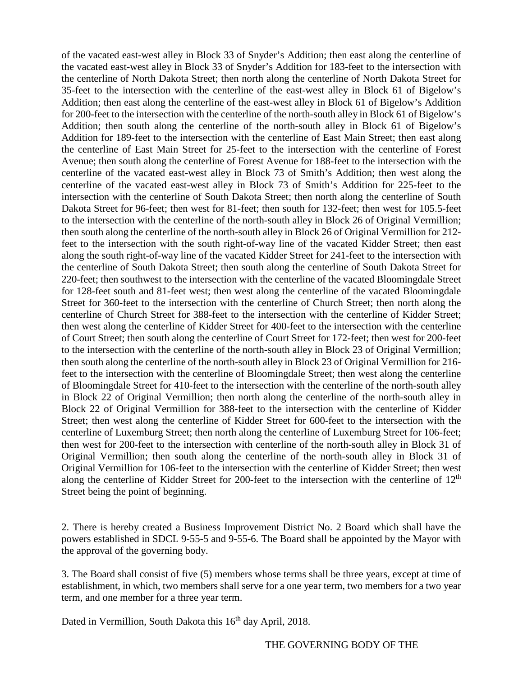of the vacated east-west alley in Block 33 of Snyder's Addition; then east along the centerline of the vacated east-west alley in Block 33 of Snyder's Addition for 183-feet to the intersection with the centerline of North Dakota Street; then north along the centerline of North Dakota Street for 35-feet to the intersection with the centerline of the east-west alley in Block 61 of Bigelow's Addition; then east along the centerline of the east-west alley in Block 61 of Bigelow's Addition for 200-feet to the intersection with the centerline of the north-south alley in Block 61 of Bigelow's Addition; then south along the centerline of the north-south alley in Block 61 of Bigelow's Addition for 189-feet to the intersection with the centerline of East Main Street; then east along the centerline of East Main Street for 25-feet to the intersection with the centerline of Forest Avenue; then south along the centerline of Forest Avenue for 188-feet to the intersection with the centerline of the vacated east-west alley in Block 73 of Smith's Addition; then west along the centerline of the vacated east-west alley in Block 73 of Smith's Addition for 225-feet to the intersection with the centerline of South Dakota Street; then north along the centerline of South Dakota Street for 96-feet; then west for 81-feet; then south for 132-feet; then west for 105.5-feet to the intersection with the centerline of the north-south alley in Block 26 of Original Vermillion; then south along the centerline of the north-south alley in Block 26 of Original Vermillion for 212 feet to the intersection with the south right-of-way line of the vacated Kidder Street; then east along the south right-of-way line of the vacated Kidder Street for 241-feet to the intersection with the centerline of South Dakota Street; then south along the centerline of South Dakota Street for 220-feet; then southwest to the intersection with the centerline of the vacated Bloomingdale Street for 128-feet south and 81-feet west; then west along the centerline of the vacated Bloomingdale Street for 360-feet to the intersection with the centerline of Church Street; then north along the centerline of Church Street for 388-feet to the intersection with the centerline of Kidder Street; then west along the centerline of Kidder Street for 400-feet to the intersection with the centerline of Court Street; then south along the centerline of Court Street for 172-feet; then west for 200-feet to the intersection with the centerline of the north-south alley in Block 23 of Original Vermillion; then south along the centerline of the north-south alley in Block 23 of Original Vermillion for 216 feet to the intersection with the centerline of Bloomingdale Street; then west along the centerline of Bloomingdale Street for 410-feet to the intersection with the centerline of the north-south alley in Block 22 of Original Vermillion; then north along the centerline of the north-south alley in Block 22 of Original Vermillion for 388-feet to the intersection with the centerline of Kidder Street; then west along the centerline of Kidder Street for 600-feet to the intersection with the centerline of Luxemburg Street; then north along the centerline of Luxemburg Street for 106-feet; then west for 200-feet to the intersection with centerline of the north-south alley in Block 31 of Original Vermillion; then south along the centerline of the north-south alley in Block 31 of Original Vermillion for 106-feet to the intersection with the centerline of Kidder Street; then west along the centerline of Kidder Street for 200-feet to the intersection with the centerline of  $12<sup>th</sup>$ Street being the point of beginning.

2. There is hereby created a Business Improvement District No. 2 Board which shall have the powers established in SDCL 9-55-5 and 9-55-6. The Board shall be appointed by the Mayor with the approval of the governing body.

3. The Board shall consist of five (5) members whose terms shall be three years, except at time of establishment, in which, two members shall serve for a one year term, two members for a two year term, and one member for a three year term.

Dated in Vermillion, South Dakota this 16<sup>th</sup> day April, 2018.